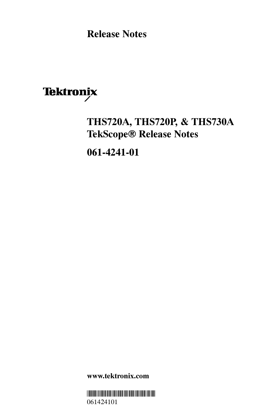Release Notes



# THS720A, THS720P, & THS730A TekScope® Release Notes

061-4241-01

www.tektronix.com

--061424101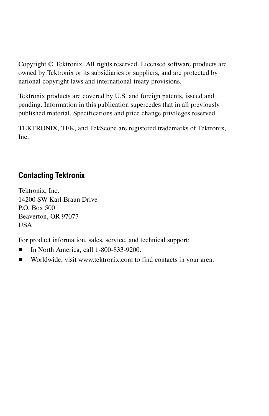Copyright © Tektronix. All rights reserved. Licensed software products are owned by Tektronix or its subsidiaries or suppliers, and are protected by national copyright laws and international treaty provisions.

Tektronix products are covered by U.S. and foreign patents, issued and pending. Information in this publication supercedes that in all previously published material. Specifications and price change privileges reserved.

TEKTRONIX, TEK, and TekScope are registered trademarks of Tektronix, Inc.

## Contacting Tektronix

Tektronix, Inc. 14200 SW Karl Braun Drive P.O. Box 500 Beaverton, OR 97077 **USA** 

For product information, sales, service, and technical support:

- -In North America, call 1-800-833-9200.
- -Worldwide, visit www.tektronix.com to find contacts in your area.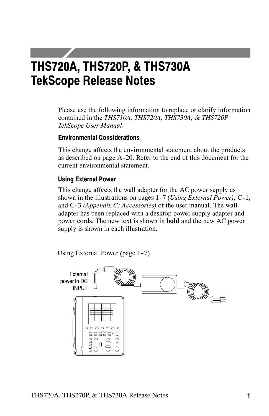# THS720A, THS720P, & THS730A TekScope Release Notes

Please use the following information to replace or clarify information contained in the THS710A, THS720A, THS730A, & THS720P TekScope User Manual.

#### Environmental Considerations

This change affects the environmental statement about the products as described on page A-20. Refer to the end of this document for the current environmental statement.

#### Using External Power

This change affects the wall adapter for the AC power supply as shown in the illustrations on pages  $1-7$  (Using External Power), C-1, and C-3 (Appendix C: Accessories) of the user manual. The wall adapter has been replaced with a desktop power supply adapter and power cords. The new text is shown in bold and the new AC power supply is shown in each illustration.

Using External Power (page  $1-7$ )

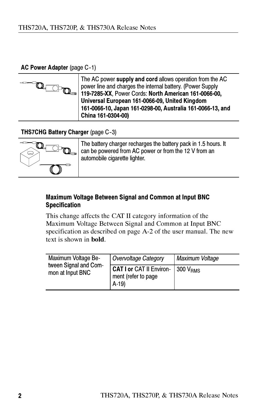### AC Power Adapter (page C-1)



The AC power supply and cord allows operation from the AC power line and charges the internal battery. (Power Supply 119-7285-XX, Power Cords: North American 161-0066-00, Universal European 161-0066-09, United Kingdom 161-0066-10, Japan 161-0298-00, Australia 161-0066-13, and China 161-0304-00)

#### THS7CHG Battery Charger (page C-3)



The battery charger recharges the battery pack in 1.5 hours. It can be powered from AC power or from the 12 V from an automobile cigarette lighter.

### Maximum Voltage Between Signal and Common at Input BNC **Specification**

This change affects the CAT II category information of the Maximum Voltage Between Signal and Common at Input BNC specification as described on page A-2 of the user manual. The new text is shown in bold.

| Maximum Voltage Be-<br>tween Signal and Com-<br>mon at Input BNC | Overvoltage Category                                             | Maximum Voltage       |
|------------------------------------------------------------------|------------------------------------------------------------------|-----------------------|
|                                                                  | <b>CAT I or CAT II Environ-</b><br>ment (refer to page<br>$A-19$ | 1300 V <sub>RMS</sub> |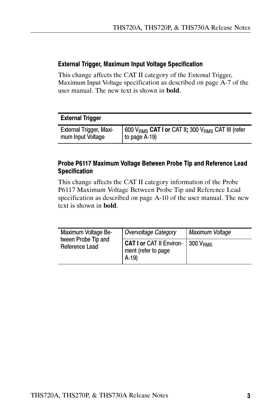#### External Trigger, Maximum Input Voltage Specification

This change affects the CAT II category of the External Trigger, Maximum Input Voltage specification as described on page A-7 of the user manual. The new text is shown in bold.

#### External Trigger

| <b>External Trigger, Maxi-</b> | 600 V <sub>RMS</sub> CAT I or CAT II; 300 V <sub>RMS</sub> CAT III (refer |
|--------------------------------|---------------------------------------------------------------------------|
| mum Input Voltage              | to page A-19)                                                             |

#### Probe P6117 Maximum Voltage Between Probe Tip and Reference Lead **Specification**

This change affects the CAT II category information of the Probe P6117 Maximum Voltage Between Probe Tip and Reference Lead specification as described on page A-10 of the user manual. The new text is shown in bold.

| Maximum Voltage Be-<br>tween Probe Tip and<br>Reference Lead | Overvoltage Category                                                           | Maximum Voltage |
|--------------------------------------------------------------|--------------------------------------------------------------------------------|-----------------|
|                                                              | <b>CAT I or CAT II Environ-</b> 300 $V_{RMS}$<br>ment (refer to page<br>$A-19$ |                 |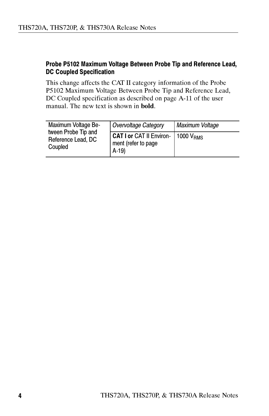### Probe P5102 Maximum Voltage Between Probe Tip and Reference Lead, DC Coupled Specification

This change affects the CAT II category information of the Probe P5102 Maximum Voltage Between Probe Tip and Reference Lead, DC Coupled specification as described on page A-11 of the user manual. The new text is shown in **bold**.

| Maximum Voltage Be-<br>tween Probe Tip and<br>Reference Lead, DC<br>Coupled | Overvoltage Category                                             | Maximum Voltage               |
|-----------------------------------------------------------------------------|------------------------------------------------------------------|-------------------------------|
|                                                                             | <b>CAT I or CAT II Environ-</b><br>ment (refer to page<br>$A-19$ | $1000 \text{ V}_{\text{RMS}}$ |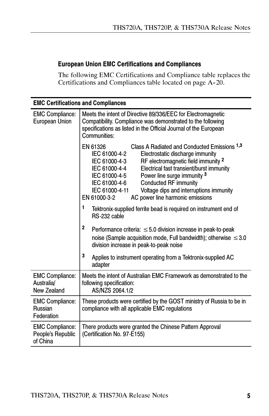### European Union EMC Certifications and Compliances

The following EMC Certifications and Compliance table replaces the Certifications and Compliances table located on page A-20.

| <b>EMC Certifications and Compliances</b>               |                                                                                                                                                                                                                                                                                                                                                                                                                                                                                                                                                                                                                                                                                                                                                                                                                                             |
|---------------------------------------------------------|---------------------------------------------------------------------------------------------------------------------------------------------------------------------------------------------------------------------------------------------------------------------------------------------------------------------------------------------------------------------------------------------------------------------------------------------------------------------------------------------------------------------------------------------------------------------------------------------------------------------------------------------------------------------------------------------------------------------------------------------------------------------------------------------------------------------------------------------|
| <b>EMC Compliance:</b><br>European Union                | Meets the intent of Directive 89/336/EEC for Electromagnetic<br>Compatibility. Compliance was demonstrated to the following<br>specifications as listed in the Official Journal of the European<br>Communities:                                                                                                                                                                                                                                                                                                                                                                                                                                                                                                                                                                                                                             |
|                                                         | EN 61326<br>Class A Radiated and Conducted Emissions 1,3<br>Electrostatic discharge immunity<br>IEC 61000-4-2<br>RF electromagnetic field immunity 2<br>IEC 61000-4-3<br>Electrical fast transient/burst immunity<br>IEC 61000-4-4<br>Power line surge immunity 3<br>IEC 61000-4-5<br>Conducted RF immunity<br>IEC 61000-4-6<br>Voltage dips and interruptions immunity<br>IEC 61000-4-11<br>AC power line harmonic emissions<br>EN 61000-3-2<br>1<br>Tektronix-supplied ferrite bead is required on instrument end of<br>RS-232 cable<br>$\overline{\mathbf{2}}$<br>Performance criteria: $\leq$ 5.0 division increase in peak-to-peak<br>noise (Sample acquisition mode, Full bandwidth); otherwise $\leq 3.0$<br>division increase in peak-to-peak noise<br>3<br>Applies to instrument operating from a Tektronix-supplied AC<br>adapter |
| <b>EMC Compliance:</b><br>Australia/<br>New Zealand     | Meets the intent of Australian EMC Framework as demonstrated to the<br>following specification:<br>AS/NZS 2064.1/2                                                                                                                                                                                                                                                                                                                                                                                                                                                                                                                                                                                                                                                                                                                          |
| <b>EMC Compliance:</b><br>Russian<br>Federation         | These products were certified by the GOST ministry of Russia to be in<br>compliance with all applicable EMC regulations                                                                                                                                                                                                                                                                                                                                                                                                                                                                                                                                                                                                                                                                                                                     |
| <b>EMC Compliance:</b><br>People's Republic<br>of China | There products were granted the Chinese Pattern Approval<br>(Certification No. 97-E155)                                                                                                                                                                                                                                                                                                                                                                                                                                                                                                                                                                                                                                                                                                                                                     |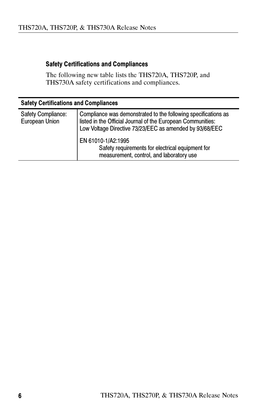#### Safety Certifications and Compliances

The following new table lists the THS720A, THS720P, and THS730A safety certifications and compliances.

| <b>Safety Certifications and Compliances</b>       |                                                                                                                                                                                                                                                                                                                |  |
|----------------------------------------------------|----------------------------------------------------------------------------------------------------------------------------------------------------------------------------------------------------------------------------------------------------------------------------------------------------------------|--|
| <b>Safety Compliance:</b><br><b>European Union</b> | Compliance was demonstrated to the following specifications as<br>listed in the Official Journal of the European Communities:<br>Low Voltage Directive 73/23/EEC as amended by 93/68/EEC<br>EN 61010-1/A2:1995<br>Safety requirements for electrical equipment for<br>measurement, control, and laboratory use |  |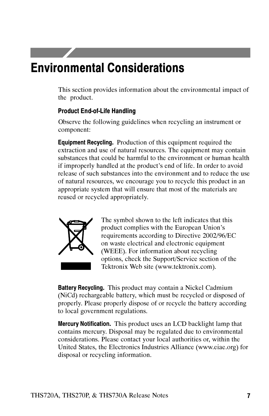# Environmental Considerations

This section provides information about the environmental impact of the product.

#### Product End-of-Life Handling

Observe the following guidelines when recycling an instrument or component:

**Equipment Recycling.** Production of this equipment required the extraction and use of natural resources. The equipment may contain substances that could be harmful to the environment or human health if improperly handled at the product's end of life. In order to avoid release of such substances into the environment and to reduce the use of natural resources, we encourage you to recycle this product in an appropriate system that will ensure that most of the materials are reused or recycled appropriately.



The symbol shown to the left indicates that this product complies with the European Union's requirements according to Directive 2002/96/EC on waste electrical and electronic equipment (WEEE). For information about recycling options, check the Support/Service section of the Tektronix Web site (www.tektronix.com).

**Battery Recycling.** This product may contain a Nickel Cadmium (NiCd) rechargeable battery, which must be recycled or disposed of properly. Please properly dispose of or recycle the battery according to local government regulations.

Mercury Notification. This product uses an LCD backlight lamp that contains mercury. Disposal may be regulated due to environmental considerations. Please contact your local authorities or, within the United States, the Electronics Industries Alliance (www.eiae.org) for disposal or recycling information.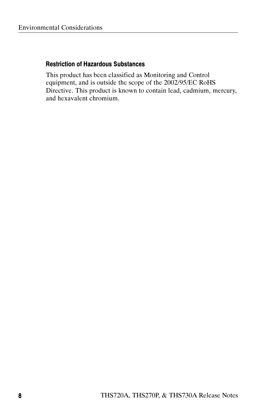#### Restriction of Hazardous Substances

This product has been classified as Monitoring and Control equipment, and is outside the scope of the 2002/95/EC RoHS Directive. This product is known to contain lead, cadmium, mercury, and hexavalent chromium.